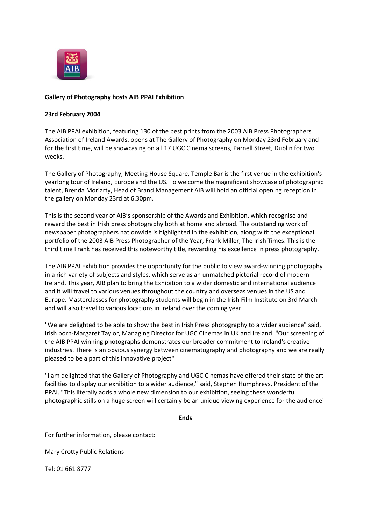

## **Gallery of Photography hosts AIB PPAI Exhibition**

## **23rd February 2004**

The AIB PPAI exhibition, featuring 130 of the best prints from the 2003 AIB Press Photographers Association of Ireland Awards, opens at The Gallery of Photography on Monday 23rd February and for the first time, will be showcasing on all 17 UGC Cinema screens, Parnell Street, Dublin for two weeks.

The Gallery of Photography, Meeting House Square, Temple Bar is the first venue in the exhibition's yearlong tour of Ireland, Europe and the US. To welcome the magnificent showcase of photographic talent, Brenda Moriarty, Head of Brand Management AIB will hold an official opening reception in the gallery on Monday 23rd at 6.30pm.

This is the second year of AIB's sponsorship of the Awards and Exhibition, which recognise and reward the best in Irish press photography both at home and abroad. The outstanding work of newspaper photographers nationwide is highlighted in the exhibition, along with the exceptional portfolio of the 2003 AIB Press Photographer of the Year, Frank Miller, The Irish Times. This is the third time Frank has received this noteworthy title, rewarding his excellence in press photography.

The AIB PPAI Exhibition provides the opportunity for the public to view award-winning photography in a rich variety of subjects and styles, which serve as an unmatched pictorial record of modern Ireland. This year, AIB plan to bring the Exhibition to a wider domestic and international audience and it will travel to various venues throughout the country and overseas venues in the US and Europe. Masterclasses for photography students will begin in the Irish Film Institute on 3rd March and will also travel to various locations in Ireland over the coming year.

"We are delighted to be able to show the best in Irish Press photography to a wider audience" said, Irish born-Margaret Taylor, Managing Director for UGC Cinemas in UK and Ireland. "Our screening of the AIB PPAI winning photographs demonstrates our broader commitment to Ireland's creative industries. There is an obvious synergy between cinematography and photography and we are really pleased to be a part of this innovative project"

"I am delighted that the Gallery of Photography and UGC Cinemas have offered their state of the art facilities to display our exhibition to a wider audience," said, Stephen Humphreys, President of the PPAI. "This literally adds a whole new dimension to our exhibition, seeing these wonderful photographic stills on a huge screen will certainly be an unique viewing experience for the audience"

**Ends**

For further information, please contact:

Mary Crotty Public Relations

Tel: 01 661 8777